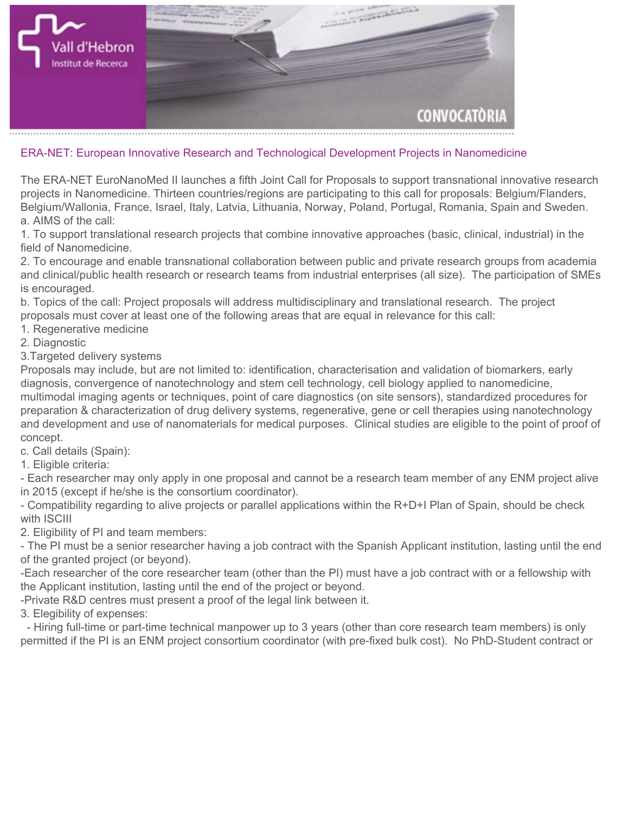

## **ERA-NET: European Innovative Research and Technological Development Projects in Nanomedicine**

**The ERA-NET EuroNanoMed II launches a fifth Joint Call for Proposals to support transnational innovative research projects in Nanomedicine. Thirteen countries/regions are participating to this call for proposals: Belgium/Flanders, Belgium/Wallonia, France, Israel, Italy, Latvia, Lithuania, Norway, Poland, Portugal, Romania, Spain and Sweden. a. AIMS of the call:**

**1. To support translational research projects that combine innovative approaches (basic, clinical, industrial) in the field of Nanomedicine.**

**2. To encourage and enable transnational collaboration between public and private research groups from academia and clinical/public health research or research teams from industrial enterprises (all size). The participation of SMEs is encouraged.**

**b. Topics of the call: Project proposals will address multidisciplinary and translational research. The project proposals must cover at least one of the following areas that are equal in relevance for this call:**

- **1. Regenerative medicine**
- **2. Diagnostic**

**3.Targeted delivery systems**

**Proposals may include, but are not limited to: identification, characterisation and validation of biomarkers, early diagnosis, convergence of nanotechnology and stem cell technology, cell biology applied to nanomedicine, multimodal imaging agents or techniques, point of care diagnostics (on site sensors), standardized procedures for preparation & characterization of drug delivery systems, regenerative, gene or cell therapies using nanotechnology and development and use of nanomaterials for medical purposes. Clinical studies are eligible to the point of proof of concept.**

**c. Call details (Spain):**

**1. Eligible criteria:**

**- Each researcher may only apply in one proposal and cannot be a research team member of any ENM project alive in 2015 (except if he/she is the consortium coordinator).**

**- Compatibility regarding to alive projects or parallel applications within the R+D+I Plan of Spain, should be check with ISCIII**

**2. Eligibility of PI and team members:**

**- The PI must be a senior researcher having a job contract with the Spanish Applicant institution, lasting until the end of the granted project (or beyond).**

**-Each researcher of the core researcher team (other than the PI) must have a job contract with or a fellowship with the Applicant institution, lasting until the end of the project or beyond.**

**-Private R&D centres must present a proof of the legal link between it.**

**3. Elegibility of expenses:**

 **- Hiring full-time or part-time technical manpower up to 3 years (other than core research team members) is only permitted if the PI is an ENM project consortium coordinator (with pre-fixed bulk cost). No PhD-Student contract or**